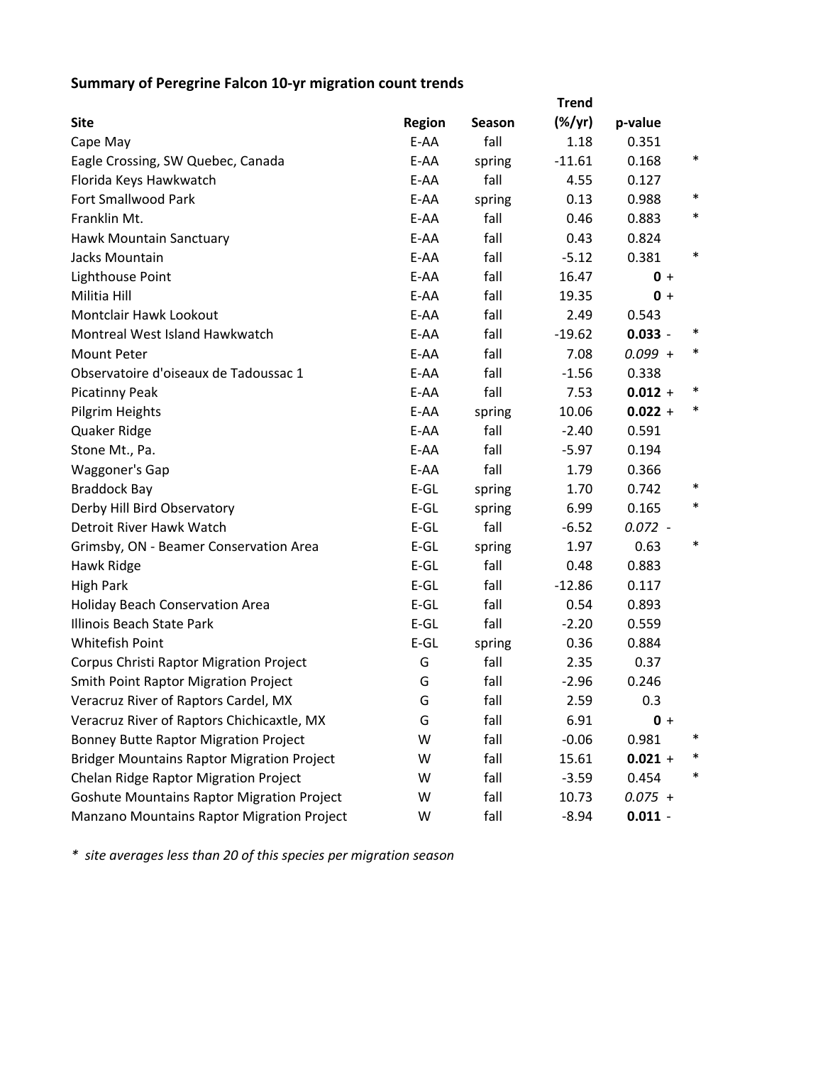## **Summary of Peregrine Falcon 10‐yr migration count trends**

|                                                   |               |        | <b>Trend</b> |           |        |
|---------------------------------------------------|---------------|--------|--------------|-----------|--------|
| <b>Site</b>                                       | <b>Region</b> | Season | $(\%/yr)$    | p-value   |        |
| Cape May                                          | E-AA          | fall   | 1.18         | 0.351     |        |
| Eagle Crossing, SW Quebec, Canada                 | E-AA          | spring | $-11.61$     | 0.168     | $\ast$ |
| Florida Keys Hawkwatch                            | E-AA          | fall   | 4.55         | 0.127     |        |
| Fort Smallwood Park                               | E-AA          | spring | 0.13         | 0.988     | $\ast$ |
| Franklin Mt.                                      | E-AA          | fall   | 0.46         | 0.883     | $\ast$ |
| Hawk Mountain Sanctuary                           | E-AA          | fall   | 0.43         | 0.824     |        |
| Jacks Mountain                                    | E-AA          | fall   | $-5.12$      | 0.381     | $\ast$ |
| Lighthouse Point                                  | E-AA          | fall   | 16.47        | $0 +$     |        |
| Militia Hill                                      | E-AA          | fall   | 19.35        | $0 +$     |        |
| Montclair Hawk Lookout                            | E-AA          | fall   | 2.49         | 0.543     |        |
| Montreal West Island Hawkwatch                    | E-AA          | fall   | $-19.62$     | $0.033 -$ |        |
| <b>Mount Peter</b>                                | E-AA          | fall   | 7.08         | $0.099 +$ | $\ast$ |
| Observatoire d'oiseaux de Tadoussac 1             | E-AA          | fall   | $-1.56$      | 0.338     |        |
| <b>Picatinny Peak</b>                             | E-AA          | fall   | 7.53         | $0.012 +$ | ∗      |
| Pilgrim Heights                                   | E-AA          | spring | 10.06        | $0.022 +$ | $\ast$ |
| Quaker Ridge                                      | E-AA          | fall   | $-2.40$      | 0.591     |        |
| Stone Mt., Pa.                                    | E-AA          | fall   | $-5.97$      | 0.194     |        |
| <b>Waggoner's Gap</b>                             | E-AA          | fall   | 1.79         | 0.366     |        |
| <b>Braddock Bay</b>                               | $E-GL$        | spring | 1.70         | 0.742     | $\ast$ |
| Derby Hill Bird Observatory                       | $E-GL$        | spring | 6.99         | 0.165     | $\ast$ |
| Detroit River Hawk Watch                          | $E-GL$        | fall   | $-6.52$      | $0.072 -$ |        |
| Grimsby, ON - Beamer Conservation Area            | $E-GL$        | spring | 1.97         | 0.63      | $\ast$ |
| Hawk Ridge                                        | $E-GL$        | fall   | 0.48         | 0.883     |        |
| <b>High Park</b>                                  | $E-GL$        | fall   | $-12.86$     | 0.117     |        |
| Holiday Beach Conservation Area                   | $E-GL$        | fall   | 0.54         | 0.893     |        |
| Illinois Beach State Park                         | $E-GL$        | fall   | $-2.20$      | 0.559     |        |
| Whitefish Point                                   | $E-GL$        | spring | 0.36         | 0.884     |        |
| Corpus Christi Raptor Migration Project           | G             | fall   | 2.35         | 0.37      |        |
| <b>Smith Point Raptor Migration Project</b>       | G             | fall   | $-2.96$      | 0.246     |        |
| Veracruz River of Raptors Cardel, MX              | G             | fall   | 2.59         | 0.3       |        |
| Veracruz River of Raptors Chichicaxtle, MX        | G             | fall   | 6.91         | $0 +$     |        |
| <b>Bonney Butte Raptor Migration Project</b>      | W             | fall   | $-0.06$      | 0.981     |        |
| <b>Bridger Mountains Raptor Migration Project</b> | W             | fall   | 15.61        | $0.021 +$ |        |
| Chelan Ridge Raptor Migration Project             | W             | fall   | $-3.59$      | 0.454     | $\ast$ |
| <b>Goshute Mountains Raptor Migration Project</b> | W             | fall   | 10.73        | $0.075 +$ |        |
| Manzano Mountains Raptor Migration Project        | W             | fall   | $-8.94$      | $0.011 -$ |        |

*\* site averages less than 20 of this species per migration season*